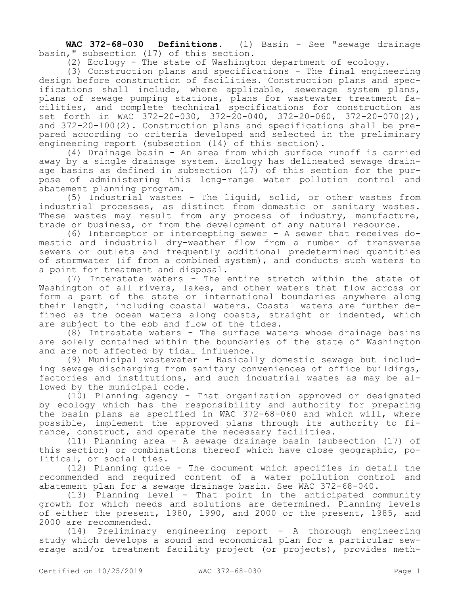**WAC 372-68-030 Definitions.** (1) Basin - See "sewage drainage basin," subsection (17) of this section.

(2) Ecology - The state of Washington department of ecology.

(3) Construction plans and specifications - The final engineering design before construction of facilities. Construction plans and specifications shall include, where applicable, sewerage system plans, plans of sewage pumping stations, plans for wastewater treatment facilities, and complete technical specifications for construction as set forth in WAC 372-20-030, 372-20-040, 372-20-060, 372-20-070(2), and 372-20-100(2). Construction plans and specifications shall be prepared according to criteria developed and selected in the preliminary engineering report (subsection (14) of this section).

(4) Drainage basin - An area from which surface runoff is carried away by a single drainage system. Ecology has delineated sewage drainage basins as defined in subsection (17) of this section for the purpose of administering this long-range water pollution control and abatement planning program.

(5) Industrial wastes - The liquid, solid, or other wastes from industrial processes, as distinct from domestic or sanitary wastes. These wastes may result from any process of industry, manufacture, trade or business, or from the development of any natural resource.

(6) Interceptor or intercepting sewer - A sewer that receives domestic and industrial dry-weather flow from a number of transverse sewers or outlets and frequently additional predetermined quantities of stormwater (if from a combined system), and conducts such waters to a point for treatment and disposal.

(7) Interstate waters - The entire stretch within the state of Washington of all rivers, lakes, and other waters that flow across or form a part of the state or international boundaries anywhere along their length, including coastal waters. Coastal waters are further defined as the ocean waters along coasts, straight or indented, which are subject to the ebb and flow of the tides.

(8) Intrastate waters - The surface waters whose drainage basins are solely contained within the boundaries of the state of Washington and are not affected by tidal influence.

(9) Municipal wastewater - Basically domestic sewage but including sewage discharging from sanitary conveniences of office buildings, factories and institutions, and such industrial wastes as may be allowed by the municipal code.

(10) Planning agency - That organization approved or designated by ecology which has the responsibility and authority for preparing the basin plans as specified in WAC 372-68-060 and which will, where possible, implement the approved plans through its authority to finance, construct, and operate the necessary facilities.

(11) Planning area - A sewage drainage basin (subsection (17) of this section) or combinations thereof which have close geographic, political, or social ties.

(12) Planning guide - The document which specifies in detail the recommended and required content of a water pollution control and abatement plan for a sewage drainage basin. See WAC 372-68-040.

(13) Planning level - That point in the anticipated community growth for which needs and solutions are determined. Planning levels of either the present, 1980, 1990, and 2000 or the present, 1985, and 2000 are recommended.

(14) Preliminary engineering report - A thorough engineering study which develops a sound and economical plan for a particular sewerage and/or treatment facility project (or projects), provides meth